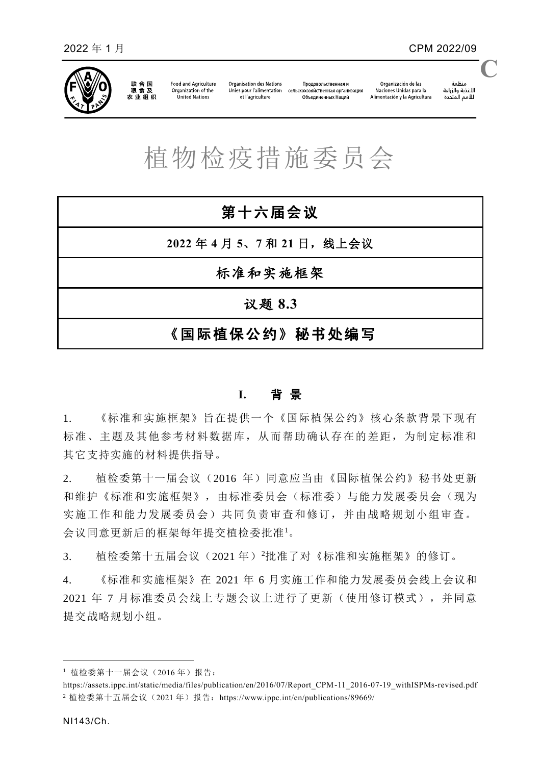

联合国<br>粮食及 农业组织

Food and Agriculture Organization of the United Nations

Organisation des Nations Продовольственная и Unies pour l'alimentation сельскохозяйственная организация et l'agriculture Объединенных Наций

منظمة سننس<br>الأغذية والزراعة<br>للأمم المتحدة **C**

植物检疫措施委员会

| 第十六届会议               |
|----------------------|
| 2022年4月5、7和21日, 线上会议 |
| 标准和实施框架              |
| 议题 8.3               |
| 《国际植保公约》秘书处编写        |

## **I.** 背 景

1. 《标准和实施框架》旨在提供一个《国际植保公约》核心条款背景下现有 标准、主题及其他参考材料数据库,从而帮助确认存在的差距,为制定标准和 其它支持实施的材料提供指导。

2. 植检委第十一届会议(2016 年)同意应当由《国际植保公约》秘书处更新 和维护《标准和实施框架》,由标准委员会(标准委)与能力发展委员会(现为 实施工作和能力发展委员会)共同负责审查和修订,并由战略规划小组审查。 会议同意更新后的框架每年提交植检委批准<sup>1</sup>。

3. 植检委第十五届会议(2021年)2批准了对《标准和实施框架》的修订。

4. 《标准和实施框架》在 2021 年 6 月实施工作和能力发展委员会线上会议和 2021 年 7 月标准委员会线上专题会议上进行了更新(使用修订模式),并同意 提交战略规划小组。

1

<sup>1</sup> 植检委第十一届会议(2016 年)报告:

[https://assets.ippc.int/static/media/files/publication/en/2016/07/Report\\_CPM-11\\_2016-07-19\\_withISPMs-revised.pdf](https://assets.ippc.int/static/media/files/publication/en/2016/07/Report_CPM-11_2016-07-19_withISPMs-revised.pdf) <sup>2</sup> 植检委第十五届会议(2021年)报告: <https://www.ippc.int/en/publications/89669/>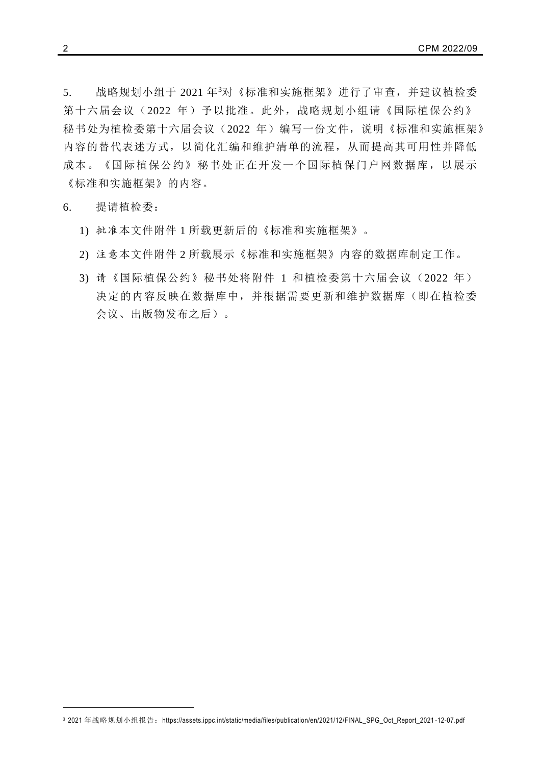5. 战略规划小组于 2021 年<sup>3</sup>对《标准和实施框架》进行了审查,并建议植检委 第十六届会议(2022年)予以批准。此外,战略规划小组请《国际植保公约》 秘书处为植检委第十六届会议(2022年)编写一份文件,说明《标准和实施框架》 内容的替代表述方式,以简化汇编和维护清单的流程,从而提高其可用性并降低 成本。《国际植保公约》秘书处正在开发一个国际植保门户网数据库,以展示 《标准和实施框架》的内容。

### 6. 提请植检委:

- 1) 批准本文件附件 1 所载更新后的《标准和实施框架》。
- 2) 注意本文件附件 2 所载展示《标准和实施框架》内容的数据库制定工作。
- 3) 请《国际植保公约》秘书处将附件 1 和植检委第十六届会议(2022 年) 决定的内容反映在数据库中,并根据需要更新和维护数据库(即在植检委 会议、出版物发布之后)。

1

<sup>3 2021</sup> 年战略规划小组报告: [https://assets.ippc.int/static/media/files/publication/en/2021/12/FINAL\\_SPG\\_Oct\\_Report\\_2021](https://assets.ippc.int/static/media/files/publication/en/2021/12/FINAL_SPG_Oct_Report_2021-12-07.pdf)-12-07.pdf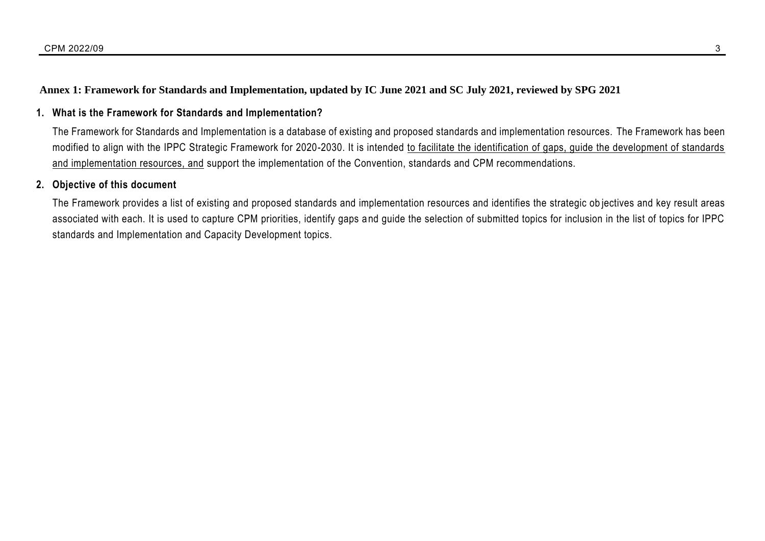## **Annex 1: Framework for Standards and Implementation, updated by IC June 2021 and SC July 2021, reviewed by SPG 2021**

## **1. What is the Framework for Standards and Implementation?**

The Framework for Standards and Implementation is a database of existing and proposed standards and implementation resources. The Framework has been modified to align with the IPPC Strategic Framework for 2020-2030. It is intended to facilitate the identification of gaps, guide the development of standards and implementation resources, and support the implementation of the Convention, standards and CPM recommendations.

## **2. Objective of this document**

The Framework provides a list of existing and proposed standards and implementation resources and identifies the strategic ob jectives and key result areas associated with each. It is used to capture CPM priorities, identify gaps and guide the selection of submitted topics for inclusion in the list of topics for IPPC standards and Implementation and Capacity Development topics.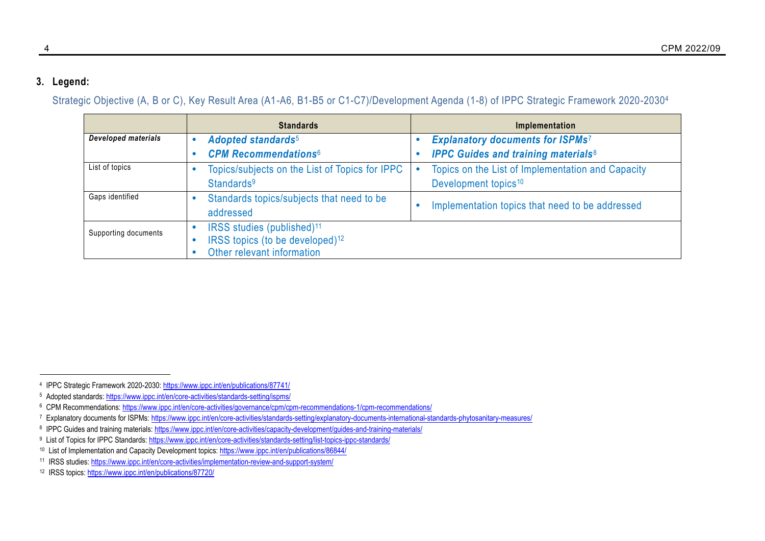## **3. Legend:**

Strategic Objective (A, B or C), Key Result Area (A1-A6, B1-B5 or C1-C7)/Development Agenda (1-8) of IPPC Strategic Framework 2020-2030<sup>4</sup>

<span id="page-3-1"></span><span id="page-3-0"></span>

|                            | <b>Standards</b>                                                                                                    | Implementation                                        |
|----------------------------|---------------------------------------------------------------------------------------------------------------------|-------------------------------------------------------|
| <b>Developed materials</b> | <b>Adopted standards</b> <sup>5</sup>                                                                               | <b>Explanatory documents for ISPMs7</b>               |
|                            | <b>CPM Recommendations6</b>                                                                                         | <b>IPPC Guides and training materials<sup>8</sup></b> |
| List of topics             | Topics/subjects on the List of Topics for IPPC                                                                      | Topics on the List of Implementation and Capacity     |
|                            | Standards <sup>9</sup>                                                                                              | Development topics <sup>10</sup>                      |
| Gaps identified            | Standards topics/subjects that need to be<br>addressed                                                              | Implementation topics that need to be addressed       |
| Supporting documents       | IRSS studies (published) <sup>11</sup><br>IRSS topics (to be developed) <sup>12</sup><br>Other relevant information |                                                       |

<sup>9</sup> List of Topics for IPPC Standards:<https://www.ippc.int/en/core-activities/standards-setting/list-topics-ippc-standards/>

<sup>&</sup>lt;sup>4</sup> IPPC Strategic Framework 2020-2030: <https://www.ippc.int/en/publications/87741/>

<sup>5</sup> Adopted standards:<https://www.ippc.int/en/core-activities/standards-setting/ispms/>

<sup>6</sup> CPM Recommendations:<https://www.ippc.int/en/core-activities/governance/cpm/cpm-recommendations-1/cpm-recommendations/>

<sup>7</sup> Explanatory documents for ISPMs[: https://www.ippc.int/en/core-activities/standards-setting/explanatory-documents-international-standards-phytosanitary-measures/](https://www.ippc.int/en/core-activities/standards-setting/explanatory-documents-international-standards-phytosanitary-measures/)

<sup>8</sup> IPPC Guides and training materials[: https://www.ippc.int/en/core-activities/capacity-development/guides-and-training-materials/](https://www.ippc.int/en/core-activities/capacity-development/guides-and-training-materials/)

<sup>10</sup> List of Implementation and Capacity Development topics:<https://www.ippc.int/en/publications/86844/>

<sup>11</sup> IRSS studies[: https://www.ippc.int/en/core-activities/implementation-review-and-support-system/](https://www.ippc.int/en/core-activities/implementation-review-and-support-system/)

<sup>12</sup> IRSS topics[: https://www.ippc.int/en/publications/87720/](https://www.ippc.int/en/publications/87720/)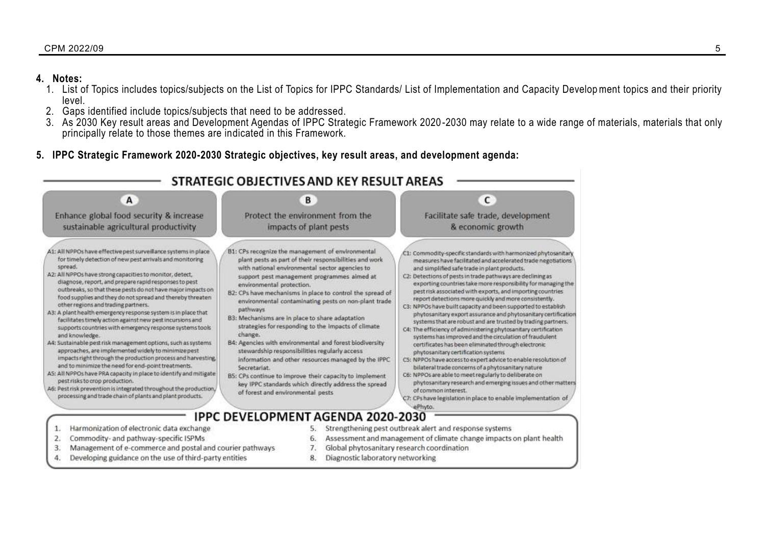### $\,$  CPM 2022/09  $\,$   $\,$  5  $\,$

## **4. Notes:**

- 1. List of Topics includes topics/subjects on the List of Topics for IPPC Standards/ List of Implementation and Capacity Development topics and their priority level.
- 2. Gaps identified include topics/subjects that need to be addressed.
- 3. As 2030 Key result areas and Development Agendas of IPPC Strategic Framework 2020 -2030 may relate to a wide range of materials, materials that only principally relate to those themes are indicated in this Framework.
- **5. IPPC Strategic Framework 2020-2030 Strategic objectives, key result areas, and development agenda:**

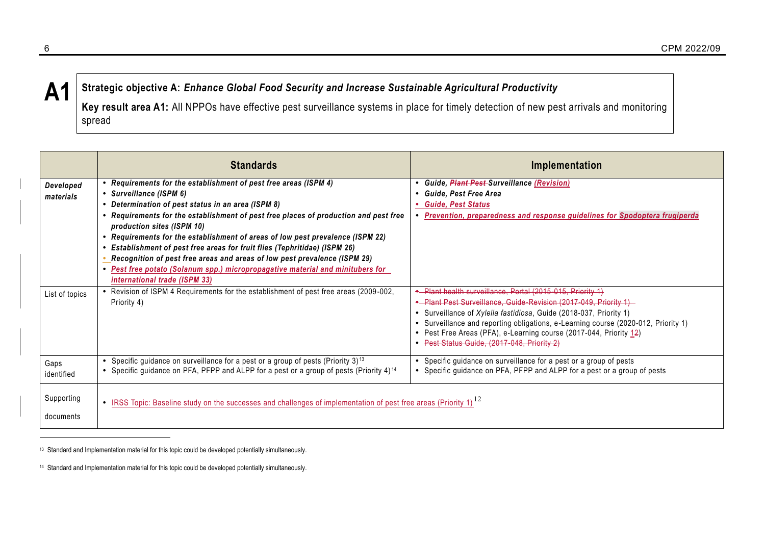## **A1 Strategic objective A:** *Enhance Global Food Security and Increase Sustainable Agricultural Productivity*

**Key result area A1:** All NPPOs have effective pest surveillance systems in place for timely detection of new pest arrivals and monitoring spread

|                         | <b>Standards</b>                                                                                                                                                                                                                                                                                                                                                                                                                                                                                                                                                                                                                             | Implementation                                                                                                                                                                                                                                                                                                                                                                                                         |
|-------------------------|----------------------------------------------------------------------------------------------------------------------------------------------------------------------------------------------------------------------------------------------------------------------------------------------------------------------------------------------------------------------------------------------------------------------------------------------------------------------------------------------------------------------------------------------------------------------------------------------------------------------------------------------|------------------------------------------------------------------------------------------------------------------------------------------------------------------------------------------------------------------------------------------------------------------------------------------------------------------------------------------------------------------------------------------------------------------------|
| Developed<br>materials  | • Requirements for the establishment of pest free areas (ISPM 4)<br>• Surveillance (ISPM 6)<br>• Determination of pest status in an area (ISPM 8)<br>• Requirements for the establishment of pest free places of production and pest free<br>production sites (ISPM 10)<br>• Requirements for the establishment of areas of low pest prevalence (ISPM 22)<br>Establishment of pest free areas for fruit flies (Tephritidae) (ISPM 26)<br>Recognition of pest free areas and areas of low pest prevalence (ISPM 29)<br>• Pest free potato (Solanum spp.) micropropagative material and minitubers for<br><i>international trade (ISPM 33)</i> | <b>Guide, Plant Pest-Surveillance (Revision)</b><br>Guide, Pest Free Area<br><b>Guide, Pest Status</b><br>Prevention, preparedness and response guidelines for Spodoptera frugiperda                                                                                                                                                                                                                                   |
| List of topics          | Revision of ISPM 4 Requirements for the establishment of pest free areas (2009-002,<br>Priority 4)                                                                                                                                                                                                                                                                                                                                                                                                                                                                                                                                           | Plant health surveillance, Portal (2015-015, Priority 1)<br>• Plant Pest Surveillance, Guide Revision (2017-049, Priority 1)<br>• Surveillance of Xylella fastidiosa, Guide (2018-037, Priority 1)<br>Surveillance and reporting obligations, e-Learning course (2020-012, Priority 1)<br>$\bullet$<br>• Pest Free Areas (PFA), e-Learning course (2017-044, Priority 12)<br>Pest Status Guide, (2017-048, Priority 2) |
| Gaps<br>identified      | Specific guidance on surveillance for a pest or a group of pests (Priority 3) <sup>13</sup><br>Specific guidance on PFA, PFPP and ALPP for a pest or a group of pests (Priority 4) <sup>14</sup>                                                                                                                                                                                                                                                                                                                                                                                                                                             | Specific guidance on surveillance for a pest or a group of pests<br>Specific guidance on PFA, PFPP and ALPP for a pest or a group of pests                                                                                                                                                                                                                                                                             |
| Supporting<br>documents | • IRSS Topic: Baseline study on the successes and challenges of implementation of pest free areas (Priority 1) <sup>12</sup>                                                                                                                                                                                                                                                                                                                                                                                                                                                                                                                 |                                                                                                                                                                                                                                                                                                                                                                                                                        |

<sup>13</sup> Standard and Implementation material for this topic could be developed potentially simultaneously.

<sup>14</sup> Standard and Implementation material for this topic could be developed potentially simultaneously.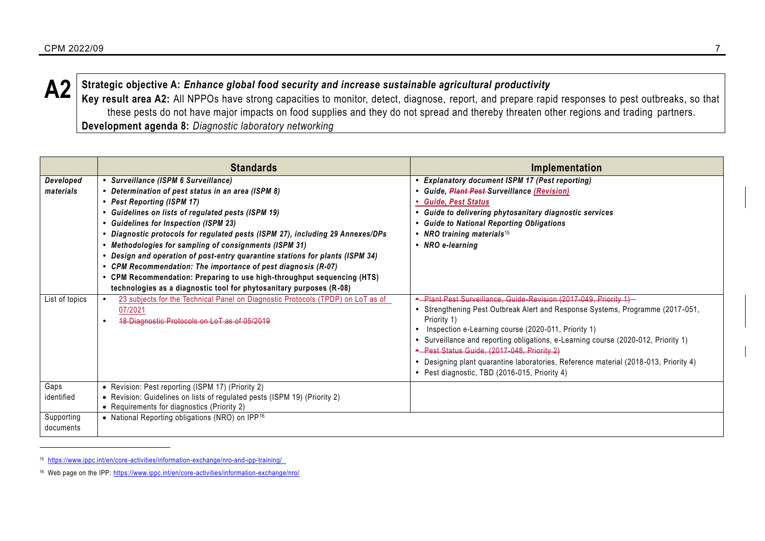

**A2** Strategic objective A: *Enhance global food security and increase sustainable agricultural productivity*<br>Key result area A3: All NDDQs have straps conseities to maniter detect, discusses, report, and prepare regi

<span id="page-6-0"></span>**Key result area A2:** All NPPOs have strong capacities to monitor, detect, diagnose, report, and prepare rapid responses to pest outbreaks, so that these pests do not have major impacts on food supplies and they do not spread and thereby threaten other regions and trading partners. **Development agenda 8:** *Diagnostic laboratory networking*

|                         | <b>Standards</b>                                                                                                                                                                                                                                                                                                                                                                                                                                                                                                                                                                                                                                                    | Implementation                                                                                                                                                                                                                                                                                                                                                                                                                                                                                        |
|-------------------------|---------------------------------------------------------------------------------------------------------------------------------------------------------------------------------------------------------------------------------------------------------------------------------------------------------------------------------------------------------------------------------------------------------------------------------------------------------------------------------------------------------------------------------------------------------------------------------------------------------------------------------------------------------------------|-------------------------------------------------------------------------------------------------------------------------------------------------------------------------------------------------------------------------------------------------------------------------------------------------------------------------------------------------------------------------------------------------------------------------------------------------------------------------------------------------------|
| Developed<br>materials  | • Surveillance (ISPM 6 Surveillance)<br>Determination of pest status in an area (ISPM 8)<br>• Pest Reporting (ISPM 17)<br>• Guidelines on lists of regulated pests (ISPM 19)<br>• Guidelines for Inspection (ISPM 23)<br>• Diagnostic protocols for regulated pests (ISPM 27), including 29 Annexes/DPs<br>• Methodologies for sampling of consignments (ISPM 31)<br>Design and operation of post-entry quarantine stations for plants (ISPM 34)<br>• CPM Recommendation: The importance of pest diagnosis (R-07)<br>• CPM Recommendation: Preparing to use high-throughput sequencing (HTS)<br>technologies as a diagnostic tool for phytosanitary purposes (R-08) | <b>Explanatory document ISPM 17 (Pest reporting)</b><br><b>Guide, Plant Pest Surveillance (Revision)</b><br>• Guide, Pest Status<br>Guide to delivering phytosanitary diagnostic services<br><b>Guide to National Reporting Obligations</b><br>• NRO training materials <sup>15</sup><br>• NRO e-learning                                                                                                                                                                                             |
| List of topics          | 23 subjects for the Technical Panel on Diagnostic Protocols (TPDP) on LoT as of<br>07/2021<br>18 Diagnostic Protocols on LoT as of 05/2019                                                                                                                                                                                                                                                                                                                                                                                                                                                                                                                          | • Plant Pest Surveillance, Guide Revision (2017-049, Priority 1)-<br>• Strengthening Pest Outbreak Alert and Response Systems, Programme (2017-051,<br>Priority 1)<br>Inspection e-Learning course (2020-011, Priority 1)<br>Surveillance and reporting obligations, e-Learning course (2020-012, Priority 1)<br>* Pest Status Guide, (2017 048, Priority 2)<br>• Designing plant quarantine laboratories, Reference material (2018-013, Priority 4)<br>• Pest diagnostic, TBD (2016-015, Priority 4) |
| Gaps<br>identified      | • Revision: Pest reporting (ISPM 17) (Priority 2)<br>• Revision: Guidelines on lists of regulated pests (ISPM 19) (Priority 2)<br>• Requirements for diagnostics (Priority 2)                                                                                                                                                                                                                                                                                                                                                                                                                                                                                       |                                                                                                                                                                                                                                                                                                                                                                                                                                                                                                       |
| Supporting<br>documents | • National Reporting obligations (NRO) on IPP <sup>16</sup>                                                                                                                                                                                                                                                                                                                                                                                                                                                                                                                                                                                                         |                                                                                                                                                                                                                                                                                                                                                                                                                                                                                                       |

<span id="page-6-1"></span><sup>15</sup> <https://www.ippc.int/en/core-activities/information-exchange/nro-and-ipp-training/>

<sup>16</sup> Web page on the IPP:<https://www.ippc.int/en/core-activities/information-exchange/nro/>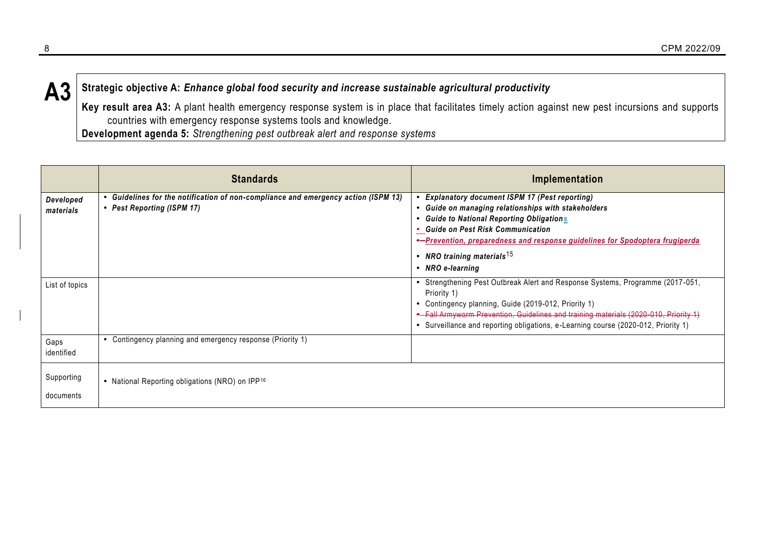**A3 Strategic objective A:** *Enhance global food security and increase sustainable agricultural productivity*

**Key result area A3:** A plant health emergency response system is in place that facilitates timely action against new pest incursions and supports countries with emergency response systems tools and knowledge.

**Development agenda 5:** *Strengthening pest outbreak alert and response systems*

|                         | <b>Standards</b>                                                                                                 | Implementation                                                                                                                                                                                                                                                                                                                                  |
|-------------------------|------------------------------------------------------------------------------------------------------------------|-------------------------------------------------------------------------------------------------------------------------------------------------------------------------------------------------------------------------------------------------------------------------------------------------------------------------------------------------|
| Developed<br>materials  | • Guidelines for the notification of non-compliance and emergency action (ISPM 13)<br>• Pest Reporting (ISPM 17) | <b>Explanatory document ISPM 17 (Pest reporting)</b><br>Guide on managing relationships with stakeholders<br><b>Guide to National Reporting Obligations</b><br>• Guide on Pest Risk Communication<br>*-Prevention, preparedness and response guidelines for Spodoptera frugiperda<br>• NRO training materials <sup>15</sup><br>• NRO e-learning |
| List of topics          |                                                                                                                  | • Strengthening Pest Outbreak Alert and Response Systems, Programme (2017-051,<br>Priority 1)<br>Contingency planning, Guide (2019-012, Priority 1)<br>٠<br>* Fall Armyworm Prevention, Guidelines and training materials (2020-010, Priority 1)<br>Surveillance and reporting obligations, e-Learning course (2020-012, Priority 1)            |
| Gaps<br>identified      | • Contingency planning and emergency response (Priority 1)                                                       |                                                                                                                                                                                                                                                                                                                                                 |
| Supporting<br>documents | • National Reporting obligations (NRO) on IPP <sup>16</sup>                                                      |                                                                                                                                                                                                                                                                                                                                                 |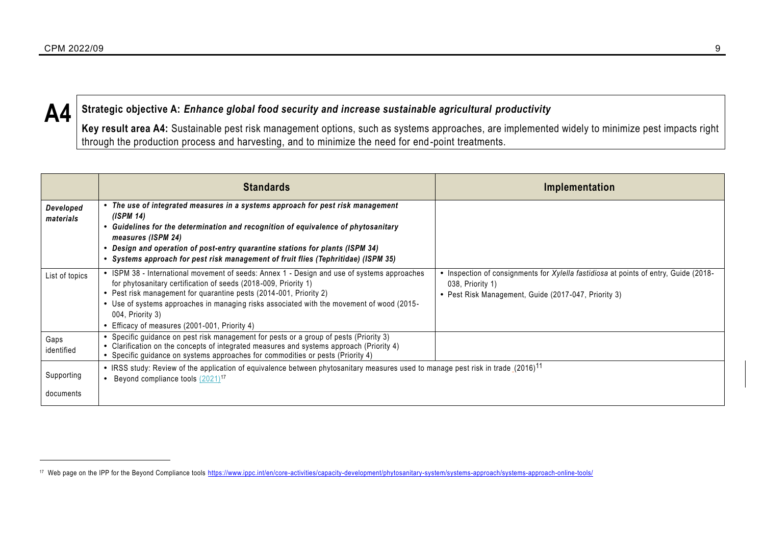

## **A4 Strategic objective A:** *Enhance global food security and increase sustainable agricultural productivity*

**Key result area A4:** Sustainable pest risk management options, such as systems approaches, are implemented widely to minimize pest impacts right through the production process and harvesting, and to minimize the need for end -point treatments.

|                         | <b>Standards</b>                                                                                                                                                                                                                                                                                                                                                                                     | Implementation                                                                                                                                                   |
|-------------------------|------------------------------------------------------------------------------------------------------------------------------------------------------------------------------------------------------------------------------------------------------------------------------------------------------------------------------------------------------------------------------------------------------|------------------------------------------------------------------------------------------------------------------------------------------------------------------|
| Developed<br>materials  | The use of integrated measures in a systems approach for pest risk management<br>(ISPM 14)<br>Guidelines for the determination and recognition of equivalence of phytosanitary<br>measures (ISPM 24)<br>Design and operation of post-entry quarantine stations for plants (ISPM 34)<br>Systems approach for pest risk management of fruit flies (Tephritidae) (ISPM 35)                              |                                                                                                                                                                  |
| List of topics          | • ISPM 38 - International movement of seeds: Annex 1 - Design and use of systems approaches<br>for phytosanitary certification of seeds (2018-009, Priority 1)<br>• Pest risk management for quarantine pests (2014-001, Priority 2)<br>• Use of systems approaches in managing risks associated with the movement of wood (2015-<br>004, Priority 3)<br>Efficacy of measures (2001-001, Priority 4) | • Inspection of consignments for Xylella fastidiosa at points of entry, Guide (2018-<br>038, Priority 1)<br>• Pest Risk Management, Guide (2017-047, Priority 3) |
| Gaps<br>identified      | • Specific guidance on pest risk management for pests or a group of pests (Priority 3)<br>• Clarification on the concepts of integrated measures and systems approach (Priority 4)<br>• Specific guidance on systems approaches for commodities or pests (Priority 4)                                                                                                                                |                                                                                                                                                                  |
| Supporting<br>documents | • IRSS study: Review of the application of equivalence between phytosanitary measures used to manage pest risk in trade $(2016)^{11}$<br>Beyond compliance tools (2021) <sup>17</sup>                                                                                                                                                                                                                |                                                                                                                                                                  |
|                         |                                                                                                                                                                                                                                                                                                                                                                                                      |                                                                                                                                                                  |

<sup>&</sup>lt;sup>17</sup> Web page on the IPP for the Beyond Compliance tools<https://www.ippc.int/en/core-activities/capacity-development/phytosanitary-system/systems-approach/systems-approach-online-tools/>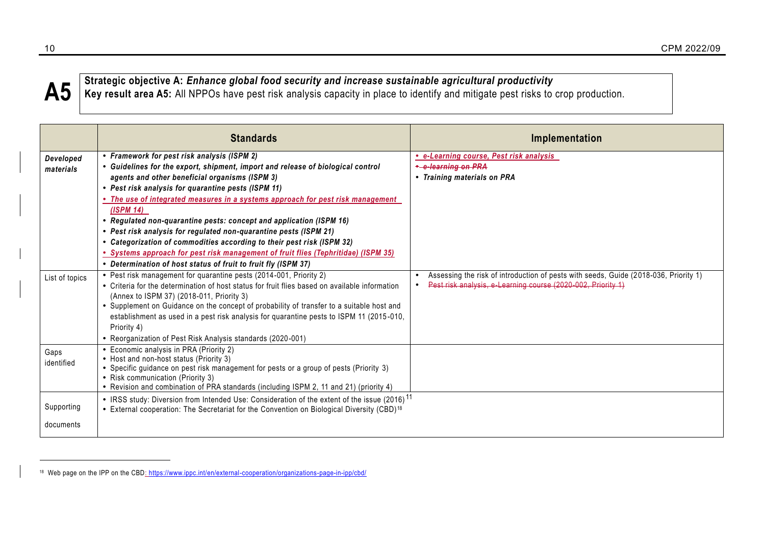

 $\mathbf{A5}^\parallel$ Strategic objective A: *Enhance global food security and increase sustainable agricultural productivity*<br>Key result area A5: All NPPOs have pest risk analysis capacity in place to identify and mitigate pest ris

|                         | <b>Standards</b>                                                                                                                                                                                                                                                                                                                                                                                                                                                                                                                                                                                                                                                                                                            | Implementation                                                                                                                                       |
|-------------------------|-----------------------------------------------------------------------------------------------------------------------------------------------------------------------------------------------------------------------------------------------------------------------------------------------------------------------------------------------------------------------------------------------------------------------------------------------------------------------------------------------------------------------------------------------------------------------------------------------------------------------------------------------------------------------------------------------------------------------------|------------------------------------------------------------------------------------------------------------------------------------------------------|
| Developed<br>materials  | • Framework for pest risk analysis (ISPM 2)<br>• Guidelines for the export, shipment, import and release of biological control<br>agents and other beneficial organisms (ISPM 3)<br>• Pest risk analysis for quarantine pests (ISPM 11)<br>. The use of integrated measures in a systems approach for pest risk management<br>$($ ISPM 14 $)$<br>• Regulated non-quarantine pests: concept and application (ISPM 16)<br>• Pest risk analysis for regulated non-quarantine pests (ISPM 21)<br>• Categorization of commodities according to their pest risk (ISPM 32)<br>• Systems approach for pest risk management of fruit flies (Tephritidae) (ISPM 35)<br>• Determination of host status of fruit to fruit fly (ISPM 37) | e-Learning course, Pest risk analysis<br>*-e-learning on PRA<br>• Training materials on PRA                                                          |
| List of topics          | • Pest risk management for quarantine pests (2014-001, Priority 2)<br>• Criteria for the determination of host status for fruit flies based on available information<br>(Annex to ISPM 37) (2018-011, Priority 3)<br>• Supplement on Guidance on the concept of probability of transfer to a suitable host and<br>establishment as used in a pest risk analysis for quarantine pests to ISPM 11 (2015-010,<br>Priority 4)<br>• Reorganization of Pest Risk Analysis standards (2020-001)                                                                                                                                                                                                                                    | Assessing the risk of introduction of pests with seeds, Guide (2018-036, Priority 1)<br>Pest risk analysis, e Learning course (2020-002, Priority 1) |
| Gaps<br>identified      | Economic analysis in PRA (Priority 2)<br>• Host and non-host status (Priority 3)<br>• Specific guidance on pest risk management for pests or a group of pests (Priority 3)<br>• Risk communication (Priority 3)<br>• Revision and combination of PRA standards (including ISPM 2, 11 and 21) (priority 4)                                                                                                                                                                                                                                                                                                                                                                                                                   |                                                                                                                                                      |
| Supporting<br>documents | • IRSS study: Diversion from Intended Use: Consideration of the extent of the issue (2016) <sup>11</sup><br>• External cooperation: The Secretariat for the Convention on Biological Diversity (CBD) <sup>18</sup>                                                                                                                                                                                                                                                                                                                                                                                                                                                                                                          |                                                                                                                                                      |

<span id="page-9-0"></span><sup>18</sup> Web page on the IPP on the CBD: <https://www.ippc.int/en/external-cooperation/organizations-page-in-ipp/cbd/>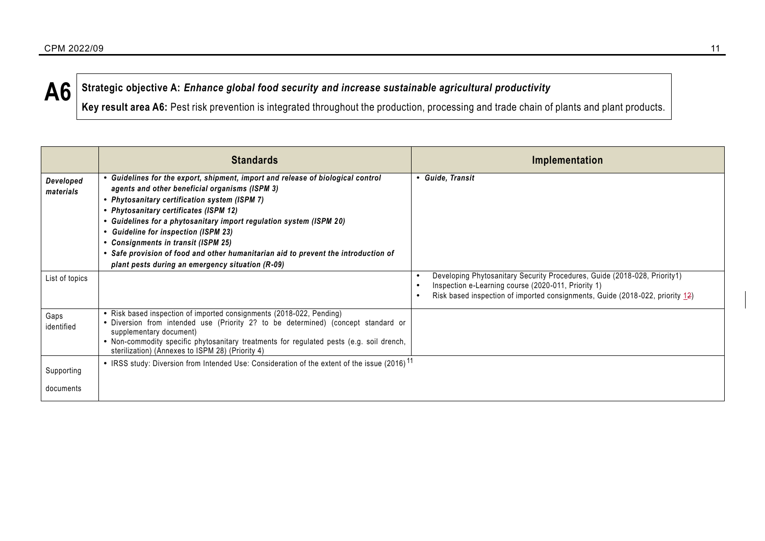**A6 Strategic objective A:** *Enhance global food security and increase sustainable agricultural productivity*

Key result area A6: Pest risk prevention is integrated throughout the production, processing and trade chain of plants and plant products.

|                        | <b>Standards</b>                                                                                                                                                                                                                                                                                                                                                                                                                                                                                                                  | Implementation                                                                                                                                                                                                    |
|------------------------|-----------------------------------------------------------------------------------------------------------------------------------------------------------------------------------------------------------------------------------------------------------------------------------------------------------------------------------------------------------------------------------------------------------------------------------------------------------------------------------------------------------------------------------|-------------------------------------------------------------------------------------------------------------------------------------------------------------------------------------------------------------------|
| Developed<br>materials | • Guidelines for the export, shipment, import and release of biological control<br>agents and other beneficial organisms (ISPM 3)<br>• Phytosanitary certification system (ISPM 7)<br>• Phytosanitary certificates (ISPM 12)<br>• Guidelines for a phytosanitary import regulation system (ISPM 20)<br><b>Guideline for inspection (ISPM 23)</b><br>• Consignments in transit (ISPM 25)<br>• Safe provision of food and other humanitarian aid to prevent the introduction of<br>plant pests during an emergency situation (R-09) | • Guide, Transit                                                                                                                                                                                                  |
| List of topics         |                                                                                                                                                                                                                                                                                                                                                                                                                                                                                                                                   | Developing Phytosanitary Security Procedures, Guide (2018-028, Priority1)<br>Inspection e-Learning course (2020-011, Priority 1)<br>Risk based inspection of imported consignments, Guide (2018-022, priority 12) |
| Gaps<br>identified     | • Risk based inspection of imported consignments (2018-022, Pending)<br>• Diversion from intended use (Priority 2? to be determined) (concept standard or<br>supplementary document)<br>• Non-commodity specific phytosanitary treatments for regulated pests (e.g. soil drench,<br>sterilization) (Annexes to ISPM 28) (Priority 4)                                                                                                                                                                                              |                                                                                                                                                                                                                   |
| Supporting             | • IRSS study: Diversion from Intended Use: Consideration of the extent of the issue (2016) <sup>11</sup>                                                                                                                                                                                                                                                                                                                                                                                                                          |                                                                                                                                                                                                                   |
| documents              |                                                                                                                                                                                                                                                                                                                                                                                                                                                                                                                                   |                                                                                                                                                                                                                   |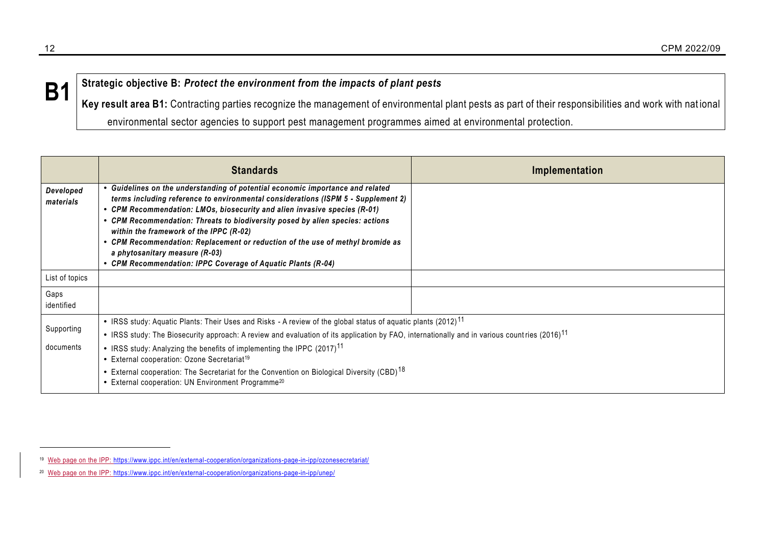# **B1** Strategic objective B: Protect the environment from the impacts of plant pests

Key result area B1: Contracting parties recognize the management of environmental plant pests as part of their responsibilities and work with national environmental sector agencies to support pest management programmes aimed at environmental protection.

|                        | <b>Standards</b>                                                                                                                                                                                      | Implementation |
|------------------------|-------------------------------------------------------------------------------------------------------------------------------------------------------------------------------------------------------|----------------|
| Developed<br>materials | • Guidelines on the understanding of potential economic importance and related<br>terms including reference to environmental considerations (ISPM 5 - Supplement 2)                                   |                |
|                        | • CPM Recommendation: LMOs, biosecurity and alien invasive species (R-01)<br>• CPM Recommendation: Threats to biodiversity posed by alien species: actions<br>within the framework of the IPPC (R-02) |                |
|                        | • CPM Recommendation: Replacement or reduction of the use of methyl bromide as<br>a phytosanitary measure (R-03)                                                                                      |                |
|                        | • CPM Recommendation: IPPC Coverage of Aquatic Plants (R-04)                                                                                                                                          |                |
| List of topics         |                                                                                                                                                                                                       |                |
| Gaps<br>identified     |                                                                                                                                                                                                       |                |
| Supporting             | • IRSS study: Aquatic Plants: Their Uses and Risks - A review of the global status of aquatic plants (2012) <sup>11</sup>                                                                             |                |
|                        | • IRSS study: The Biosecurity approach: A review and evaluation of its application by FAO, internationally and in various countries (2016) <sup>11</sup>                                              |                |
| documents              | • IRSS study: Analyzing the benefits of implementing the IPPC (2017) <sup>11</sup><br>• External cooperation: Ozone Secretariat <sup>19</sup>                                                         |                |
|                        | • External cooperation: The Secretariat for the Convention on Biological Diversity (CBD) <sup>18</sup><br>• External cooperation: UN Environment Programme <sup>20</sup>                              |                |

<span id="page-11-0"></span><sup>19</sup> Web page on the IPP:<https://www.ippc.int/en/external-cooperation/organizations-page-in-ipp/ozonesecretariat/>

<sup>&</sup>lt;sup>20</sup> Web page on the IPP:<https://www.ippc.int/en/external-cooperation/organizations-page-in-ipp/unep/>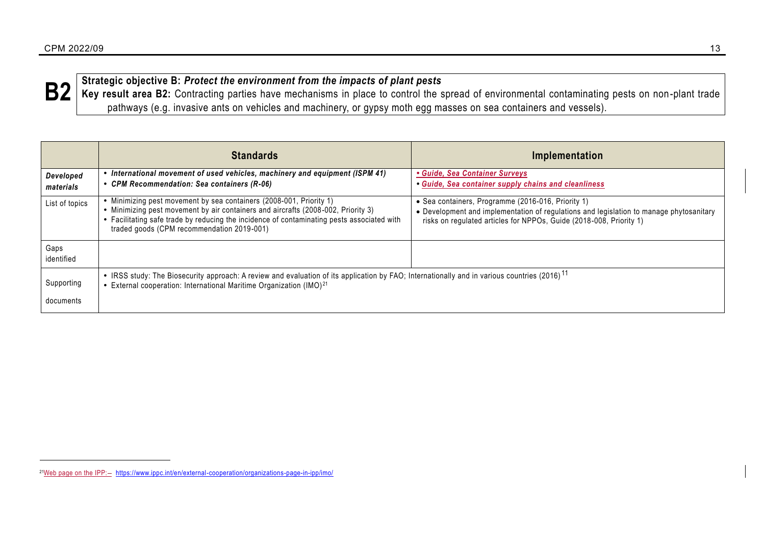

**B2** Strategic objective B: Protect the environment from the impacts of plant pests<br>**B2** Key result area B2: Contracting parties have mechanisms in place to control the spread of environmental contaminating pests on non-p pathways (e.g. invasive ants on vehicles and machinery, or gypsy moth egg masses on sea containers and vessels).

|                         | <b>Standards</b>                                                                                                                                                                                                                                                                                   | Implementation                                                                                                                                                                                                       |
|-------------------------|----------------------------------------------------------------------------------------------------------------------------------------------------------------------------------------------------------------------------------------------------------------------------------------------------|----------------------------------------------------------------------------------------------------------------------------------------------------------------------------------------------------------------------|
| Developed<br>materials  | International movement of used vehicles, machinery and equipment (ISPM 41)<br>• CPM Recommendation: Sea containers (R-06)                                                                                                                                                                          | • Guide, Sea Container Surveys<br>• Guide, Sea container supply chains and cleanliness                                                                                                                               |
| List of topics          | Minimizing pest movement by sea containers (2008-001, Priority 1)<br>• Minimizing pest movement by air containers and aircrafts (2008-002, Priority 3)<br>• Facilitating safe trade by reducing the incidence of contaminating pests associated with<br>traded goods (CPM recommendation 2019-001) | • Sea containers, Programme (2016-016, Priority 1)<br>• Development and implementation of regulations and legislation to manage phytosanitary<br>risks on regulated articles for NPPOs, Guide (2018-008, Priority 1) |
| Gaps<br>identified      |                                                                                                                                                                                                                                                                                                    |                                                                                                                                                                                                                      |
| Supporting<br>documents | • IRSS study: The Biosecurity approach: A review and evaluation of its application by FAO; Internationally and in various countries (2016) <sup>11</sup><br>• External cooperation: International Maritime Organization (IMO) <sup>21</sup>                                                        |                                                                                                                                                                                                                      |

<sup>&</sup>lt;sup>21</sup>Web page on the IPP:- <https://www.ippc.int/en/external-cooperation/organizations-page-in-ipp/imo/>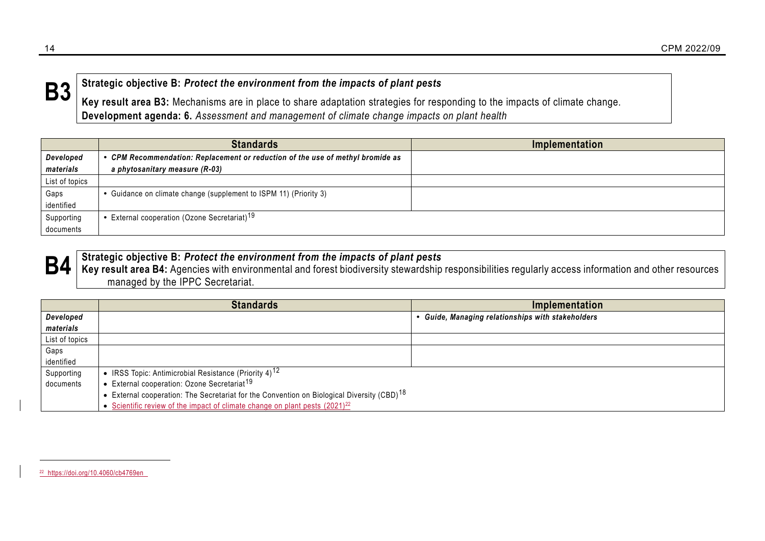

 $\mathbf{B3}$  Strategic objective B: Protect the environment from the impacts of plant pests<br>Key result area B3: Mechanisms are in place to share adaptation strategies for responding to the impacts of climate change. **Development agenda: 6.** *Assessment and management of climate change impacts on plant health*

|                | <b>Standards</b>                                                               | Implementation |
|----------------|--------------------------------------------------------------------------------|----------------|
| Developed      | • CPM Recommendation: Replacement or reduction of the use of methyl bromide as |                |
| materials      | a phytosanitary measure (R-03)                                                 |                |
| List of topics |                                                                                |                |
| Gaps           | • Guidance on climate change (supplement to ISPM 11) (Priority 3)              |                |
| identified     |                                                                                |                |
| Supporting     | External cooperation (Ozone Secretariat) <sup>19</sup>                         |                |
| documents      |                                                                                |                |



## $\mathbf{B4}\mid$  Strategic objective B: Protect the environment from the impacts of plant pests<br> $\mathbf{B4}\mid$  Key result area B4: Agencies with environmental and forest biodiversity stewardship responsibilities regularly access in managed by the IPPC Secretariat.

|                | <b>Standards</b>                                                                                       | Implementation                                           |
|----------------|--------------------------------------------------------------------------------------------------------|----------------------------------------------------------|
| Developed      |                                                                                                        | <b>• Guide, Managing relationships with stakeholders</b> |
| materials      |                                                                                                        |                                                          |
| List of topics |                                                                                                        |                                                          |
| Gaps           |                                                                                                        |                                                          |
| identified     |                                                                                                        |                                                          |
| Supporting     | • IRSS Topic: Antimicrobial Resistance (Priority 4) <sup>12</sup>                                      |                                                          |
| documents      | • External cooperation: Ozone Secretariat <sup>19</sup>                                                |                                                          |
|                | • External cooperation: The Secretariat for the Convention on Biological Diversity (CBD) <sup>18</sup> |                                                          |
|                | • Scientific review of the impact of climate change on plant pests (2021) <sup>22</sup>                |                                                          |

<sup>22</sup> <https://doi.org/10.4060/cb4769en>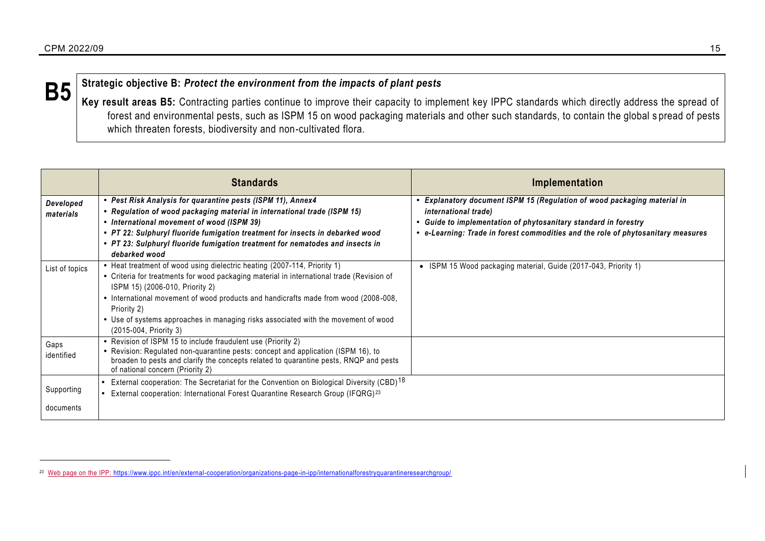# **B5** Strategic objective B: Protect the environment from the impacts of plant pests<br> **B5** Express the space B5 Contraction performation to improve their constitute inclu

**Key result areas B5:** Contracting parties continue to improve their capacity to implement key IPPC standards which directly address the spread of forest and environmental pests, such as ISPM 15 on wood packaging materials and other such standards, to contain the global s pread of pests which threaten forests, biodiversity and non-cultivated flora.

|                         | <b>Standards</b>                                                                                                                                                                                                                                                                                                                                                                                                               | Implementation                                                                                                                                                                                                                                          |
|-------------------------|--------------------------------------------------------------------------------------------------------------------------------------------------------------------------------------------------------------------------------------------------------------------------------------------------------------------------------------------------------------------------------------------------------------------------------|---------------------------------------------------------------------------------------------------------------------------------------------------------------------------------------------------------------------------------------------------------|
| Developed<br>materials  | • Pest Risk Analysis for quarantine pests (ISPM 11), Annex4<br>• Regulation of wood packaging material in international trade (ISPM 15)<br>• International movement of wood (ISPM 39)<br>• PT 22: Sulphuryl fluoride fumigation treatment for insects in debarked wood<br>• PT 23: Sulphuryl fluoride fumigation treatment for nematodes and insects in<br>debarked wood                                                       | • Explanatory document ISPM 15 (Regulation of wood packaging material in<br>international trade)<br>• Guide to implementation of phytosanitary standard in forestry<br>• e-Learning: Trade in forest commodities and the role of phytosanitary measures |
| List of topics          | • Heat treatment of wood using dielectric heating (2007-114, Priority 1)<br>• Criteria for treatments for wood packaging material in international trade (Revision of<br>ISPM 15) (2006-010, Priority 2)<br>• International movement of wood products and handicrafts made from wood (2008-008,<br>Priority 2)<br>• Use of systems approaches in managing risks associated with the movement of wood<br>(2015-004, Priority 3) | • ISPM 15 Wood packaging material, Guide (2017-043, Priority 1)                                                                                                                                                                                         |
| Gaps<br>identified      | • Revision of ISPM 15 to include fraudulent use (Priority 2)<br>• Revision: Regulated non-quarantine pests: concept and application (ISPM 16), to<br>broaden to pests and clarify the concepts related to quarantine pests, RNQP and pests<br>of national concern (Priority 2)                                                                                                                                                 |                                                                                                                                                                                                                                                         |
| Supporting<br>documents | External cooperation: The Secretariat for the Convention on Biological Diversity (CBD) <sup>18</sup><br>External cooperation: International Forest Quarantine Research Group (IFQRG) <sup>23</sup>                                                                                                                                                                                                                             |                                                                                                                                                                                                                                                         |

<sup>&</sup>lt;sup>23</sup> Web page on the IPP:<https://www.ippc.int/en/external-cooperation/organizations-page-in-ipp/internationalforestryquarantineresearchgroup/>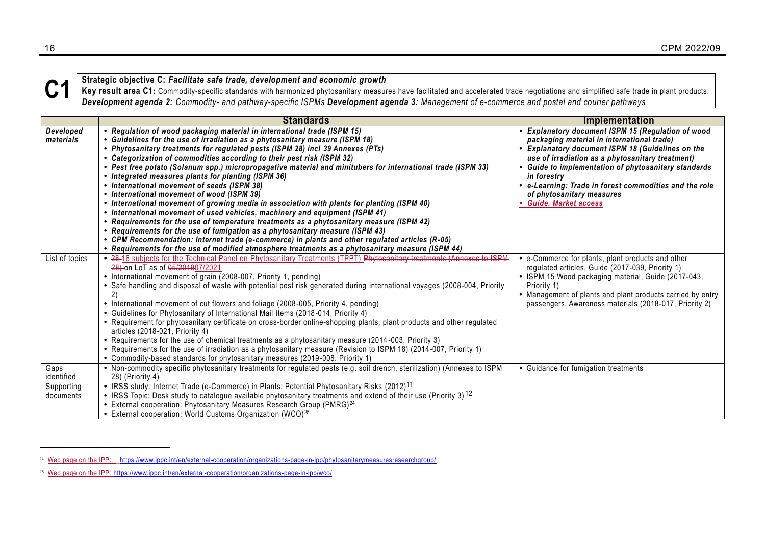

Strategic objective C: Facilitate safe trade, development and economic growth<br>Key result area C1: Commodity-specific standards with harmonized phytosanitary measures have facilitated and accelerated trade negotiations and *Development agenda 2: Commodity- and pathway-specific ISPMs Development agenda 3: Management of e-commerce and postal and courier pathways*

|                         | <b>Standards</b>                                                                                                                                                                                                                                                                                                                                                                                                                                                                                                                                                                                                                                                                                                                                                                                                                                                                                                                                                                                                                                                                                                                                              | <b>Implementation</b>                                                                                                                                                                                                                                                                                                                                                                              |
|-------------------------|---------------------------------------------------------------------------------------------------------------------------------------------------------------------------------------------------------------------------------------------------------------------------------------------------------------------------------------------------------------------------------------------------------------------------------------------------------------------------------------------------------------------------------------------------------------------------------------------------------------------------------------------------------------------------------------------------------------------------------------------------------------------------------------------------------------------------------------------------------------------------------------------------------------------------------------------------------------------------------------------------------------------------------------------------------------------------------------------------------------------------------------------------------------|----------------------------------------------------------------------------------------------------------------------------------------------------------------------------------------------------------------------------------------------------------------------------------------------------------------------------------------------------------------------------------------------------|
| Developed<br>materials  | • Regulation of wood packaging material in international trade (ISPM 15)<br>• Guidelines for the use of irradiation as a phytosanitary measure (ISPM 18)<br>• Phytosanitary treatments for regulated pests (ISPM 28) incl 39 Annexes (PTs)<br>• Categorization of commodities according to their pest risk (ISPM 32)<br>· Pest free potato (Solanum spp.) micropropagative material and minitubers for international trade (ISPM 33)<br>• Integrated measures plants for planting (ISPM 36)<br>• International movement of seeds (ISPM 38)<br>• International movement of wood (ISPM 39)<br>. International movement of growing media in association with plants for planting (ISPM 40)<br>• International movement of used vehicles, machinery and equipment (ISPM 41)<br>• Requirements for the use of temperature treatments as a phytosanitary measure (ISPM 42)<br>• Requirements for the use of fumigation as a phytosanitary measure (ISPM 43)<br>• CPM Recommendation: Internet trade (e-commerce) in plants and other regulated articles (R-05)<br>• Requirements for the use of modified atmosphere treatments as a phytosanitary measure (ISPM 44) | • Explanatory document ISPM 15 (Regulation of wood<br>packaging material in international trade)<br><b>Explanatory document ISPM 18 (Guidelines on the</b><br>use of irradiation as a phytosanitary treatment)<br>Guide to implementation of phytosanitary standards<br>in forestry<br>• e-Learning: Trade in forest commodities and the role<br>of phytosanitary measures<br>Guide, Market access |
| List of topics          | . 26-16 subjects for the Technical Panel on Phytosanitary Treatments (TPPT) Phytosanitary treatments (Annexes to ISPM<br>28) on LoT as of 05/201907/2021<br>• International movement of grain (2008-007, Priority 1, pending)<br>• Safe handling and disposal of waste with potential pest risk generated during international voyages (2008-004, Priority<br>$\mathbf{2}$<br>• International movement of cut flowers and foliage (2008-005, Priority 4, pending)<br>• Guidelines for Phytosanitary of International Mail Items (2018-014, Priority 4)<br>• Requirement for phytosanitary certificate on cross-border online-shopping plants, plant products and other regulated<br>articles (2018-021, Priority 4)<br>• Requirements for the use of chemical treatments as a phytosanitary measure (2014-003, Priority 3)<br>• Requirements for the use of irradiation as a phytosanitary measure (Revision to ISPM 18) (2014-007, Priority 1)<br>• Commodity-based standards for phytosanitary measures (2019-008, Priority 1)                                                                                                                              | • e-Commerce for plants, plant products and other<br>regulated articles, Guide (2017-039, Priority 1)<br>• ISPM 15 Wood packaging material, Guide (2017-043,<br>Priority 1)<br>• Management of plants and plant products carried by entry<br>passengers, Awareness materials (2018-017, Priority 2)                                                                                                |
| Gaps<br>identified      | • Non-commodity specific phytosanitary treatments for regulated pests (e.g. soil drench, sterilization) (Annexes to ISPM<br>28) (Priority 4)                                                                                                                                                                                                                                                                                                                                                                                                                                                                                                                                                                                                                                                                                                                                                                                                                                                                                                                                                                                                                  | • Guidance for fumigation treatments                                                                                                                                                                                                                                                                                                                                                               |
| Supporting<br>documents | • IRSS study: Internet Trade (e-Commerce) in Plants: Potential Phytosanitary Risks (2012) <sup>11</sup><br>• IRSS Topic: Desk study to catalogue available phytosanitary treatments and extend of their use (Priority 3) <sup>12</sup><br>• External cooperation: Phytosanitary Measures Research Group (PMRG) <sup>24</sup><br>• External cooperation: World Customs Organization (WCO) <sup>25</sup>                                                                                                                                                                                                                                                                                                                                                                                                                                                                                                                                                                                                                                                                                                                                                        |                                                                                                                                                                                                                                                                                                                                                                                                    |

<span id="page-15-0"></span><sup>&</sup>lt;sup>24</sup> Web page on the IPP: --<https://www.ippc.int/en/external-cooperation/organizations-page-in-ipp/phytosanitarymeasuresresearchgroup/>

<sup>25</sup> Web page on the IPP:<https://www.ippc.int/en/external-cooperation/organizations-page-in-ipp/wco/>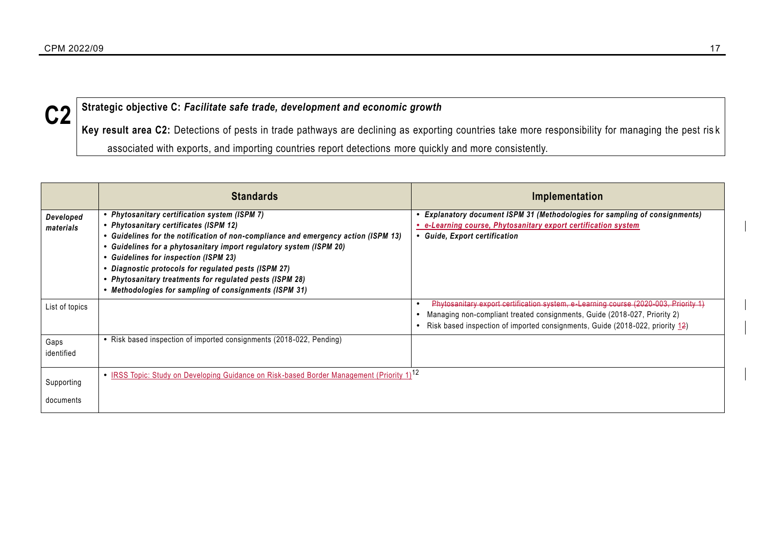# **C2 Strategic objective C:** *Facilitate safe trade, development and economic growth*

Key result area C2: Detections of pests in trade pathways are declining as exporting countries take more responsibility for managing the pest ris k associated with exports, and importing countries report detections more quickly and more consistently.

|                         | <b>Standards</b>                                                                                                                                                                                                                                                                                                                                                                                                                                                          | Implementation                                                                                                                                                                                                                                    |
|-------------------------|---------------------------------------------------------------------------------------------------------------------------------------------------------------------------------------------------------------------------------------------------------------------------------------------------------------------------------------------------------------------------------------------------------------------------------------------------------------------------|---------------------------------------------------------------------------------------------------------------------------------------------------------------------------------------------------------------------------------------------------|
| Developed<br>materials  | • Phytosanitary certification system (ISPM 7)<br>• Phytosanitary certificates (ISPM 12)<br>• Guidelines for the notification of non-compliance and emergency action (ISPM 13)<br>Guidelines for a phytosanitary import regulatory system (ISPM 20)<br>• Guidelines for inspection (ISPM 23)<br>• Diagnostic protocols for regulated pests (ISPM 27)<br>• Phytosanitary treatments for regulated pests (ISPM 28)<br>• Methodologies for sampling of consignments (ISPM 31) | • Explanatory document ISPM 31 (Methodologies for sampling of consignments)<br>• e-Learning course, Phytosanitary export certification system<br>• Guide, Export certification                                                                    |
| List of topics          |                                                                                                                                                                                                                                                                                                                                                                                                                                                                           | Phytosanitary export certification system, e Learning course (2020-003, Priority 1)<br>Managing non-compliant treated consignments, Guide (2018-027, Priority 2)<br>Risk based inspection of imported consignments, Guide (2018-022, priority 12) |
| Gaps<br>identified      | • Risk based inspection of imported consignments (2018-022, Pending)                                                                                                                                                                                                                                                                                                                                                                                                      |                                                                                                                                                                                                                                                   |
| Supporting<br>documents | • IRSS Topic: Study on Developing Guidance on Risk-based Border Management (Priority 1) <sup>12</sup>                                                                                                                                                                                                                                                                                                                                                                     |                                                                                                                                                                                                                                                   |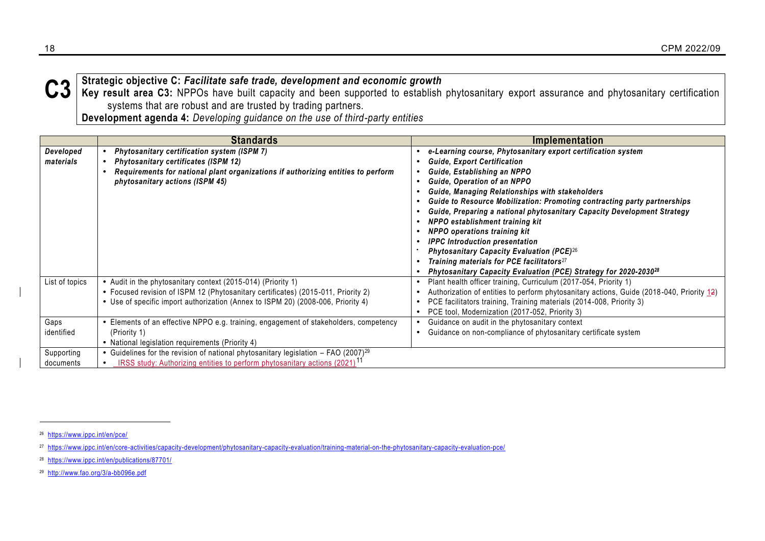

C3 Strategic objective C: Facilitate safe trade, development and economic growth<br>C3 Key result area C3: NPPOs have built capacity and been supported to establish phytosanitary export assurance and phytosanitary certificati systems that are robust and are trusted by trading partners.

**Development agenda 4:** *Developing guidance on the use of third-party entities*

|                         | <b>Standards</b>                                                                                                                                                                                                                      | Implementation                                                                                                                                                                                                                                                                                                                                                                                                                                                                                                                                                                                                                                                                                  |
|-------------------------|---------------------------------------------------------------------------------------------------------------------------------------------------------------------------------------------------------------------------------------|-------------------------------------------------------------------------------------------------------------------------------------------------------------------------------------------------------------------------------------------------------------------------------------------------------------------------------------------------------------------------------------------------------------------------------------------------------------------------------------------------------------------------------------------------------------------------------------------------------------------------------------------------------------------------------------------------|
| Developed<br>materials  | Phytosanitary certification system (ISPM 7)<br><b>Phytosanitary certificates (ISPM 12)</b><br>Requirements for national plant organizations if authorizing entities to perform<br>phytosanitary actions (ISPM 45)                     | e-Learning course, Phytosanitary export certification system<br><b>Guide, Export Certification</b><br>Guide, Establishing an NPPO<br>Guide, Operation of an NPPO<br>Guide, Managing Relationships with stakeholders<br>Guide to Resource Mobilization: Promoting contracting party partnerships<br>Guide, Preparing a national phytosanitary Capacity Development Strategy<br>NPPO establishment training kit<br><b>NPPO</b> operations training kit<br><b>IPPC</b> Introduction presentation<br>Phytosanitary Capacity Evaluation (PCE) <sup>26</sup><br>Training materials for PCE facilitators <sup>27</sup><br>Phytosanitary Capacity Evaluation (PCE) Strategy for 2020-2030 <sup>28</sup> |
| List of topics          | • Audit in the phytosanitary context (2015-014) (Priority 1)<br>• Focused revision of ISPM 12 (Phytosanitary certificates) (2015-011, Priority 2)<br>• Use of specific import authorization (Annex to ISPM 20) (2008-006, Priority 4) | Plant health officer training, Curriculum (2017-054, Priority 1)<br>Authorization of entities to perform phytosanitary actions, Guide (2018-040, Priority 12)<br>PCE facilitators training, Training materials (2014-008, Priority 3)<br>PCE tool, Modernization (2017-052, Priority 3)                                                                                                                                                                                                                                                                                                                                                                                                         |
| Gaps<br>identified      | Elements of an effective NPPO e.g. training, engagement of stakeholders, competency<br>(Priority 1)<br>• National legislation requirements (Priority 4)                                                                               | Guidance on audit in the phytosanitary context<br>Guidance on non-compliance of phytosanitary certificate system                                                                                                                                                                                                                                                                                                                                                                                                                                                                                                                                                                                |
| Supporting<br>documents | • Guidelines for the revision of national phytosanitary legislation $-$ FAO (2007) <sup>29</sup><br>IRSS study: Authorizing entities to perform phytosanitary actions (2021) <sup>11</sup>                                            |                                                                                                                                                                                                                                                                                                                                                                                                                                                                                                                                                                                                                                                                                                 |

<sup>26</sup> <https://www.ippc.int/en/pce/>

<sup>27</sup> <https://www.ippc.int/en/core-activities/capacity-development/phytosanitary-capacity-evaluation/training-material-on-the-phytosanitary-capacity-evaluation-pce/>

<sup>28</sup> <https://www.ippc.int/en/publications/87701/>

<sup>29</sup> <http://www.fao.org/3/a-bb096e.pdf>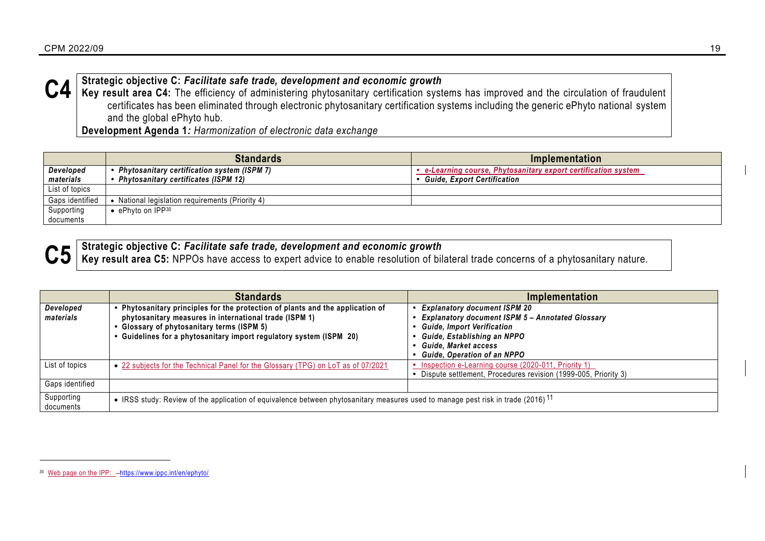

C4 Strategic objective C: Facilitate safe trade, development and economic growth<br>C4 Key result area C4: The efficiency of administering phytosanitary certification systems has improved and the circulation of fraudulent certificates has been eliminated through electronic phytosanitary certification systems including the generic ePhyto national system and the global ePhyto hub.

**Development Agenda 1***: Harmonization of electronic data exchange*

|                 | <b>Standards</b>                                 | Implementation                                                 |
|-----------------|--------------------------------------------------|----------------------------------------------------------------|
| Developed       | Phytosanitary certification system (ISPM 7) ^    | • e-Learning course, Phytosanitary export certification system |
| materials       | • Phytosanitary certificates (ISPM 12)           | <b>Guide, Export Certification</b>                             |
| List of topics  |                                                  |                                                                |
| Gaps identified | • National legislation requirements (Priority 4) |                                                                |
| Supporting      | $\bullet$ ePhyto on IPP30                        |                                                                |
| documents       |                                                  |                                                                |



 $\overline{a}$ 

<span id="page-18-0"></span>

 $\textcolor{red}{\textbf{C5}}$  Strategic objective C: *Facilitate safe trade, development and economic growth*<br> $\textcolor{red}{\textbf{C5}}$  Key result area C5: NPPOs have access to expert advice to enable resolution of bilateral trade concerns of a

|                         | <b>Standards</b>                                                                                                                             | Implementation                                                 |
|-------------------------|----------------------------------------------------------------------------------------------------------------------------------------------|----------------------------------------------------------------|
| Developed               | Phytosanitary principles for the protection of plants and the application of                                                                 | <b>Explanatory document ISPM 20</b>                            |
| materials               | phytosanitary measures in international trade (ISPM 1)                                                                                       | <b>Explanatory document ISPM 5 - Annotated Glossary</b>        |
|                         | Glossary of phytosanitary terms (ISPM 5)<br>Guidelines for a phytosanitary import regulatory system (ISPM 20)                                | <b>Guide, Import Verification</b>                              |
|                         |                                                                                                                                              | Guide, Establishing an NPPO<br>Guide, Market access            |
|                         |                                                                                                                                              | <b>Guide, Operation of an NPPO</b>                             |
| List of topics          | • 22 subjects for the Technical Panel for the Glossary (TPG) on LoT as of 07/2021                                                            | Inspection e-Learning course (2020-011, Priority 1)            |
|                         |                                                                                                                                              | Dispute settlement, Procedures revision (1999-005, Priority 3) |
| Gaps identified         |                                                                                                                                              |                                                                |
| Supporting<br>documents | • IRSS study: Review of the application of equivalence between phytosanitary measures used to manage pest risk in trade (2016) <sup>11</sup> |                                                                |

<sup>30</sup> Web page on the IPP:  $\frac{1}{100}$  -<https://www.ippc.int/en/ephyto/>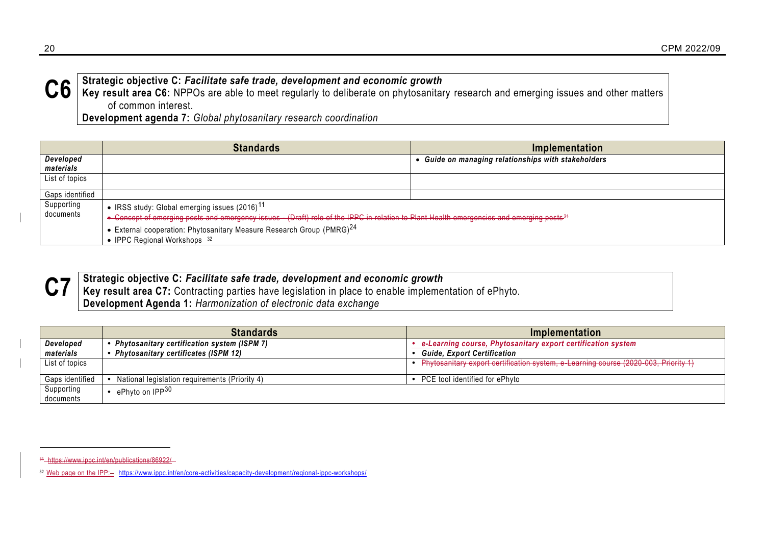

C6 Strategic objective C: *Facilitate safe trade, development and economic growth*<br>C6 Key result area C6: NPPOs are able to meet regularly to deliberate on phytosanitary research and emerging issues and other matters of common interest.

**Development agenda 7:** *Global phytosanitary research coordination*

|                                                                  | <b>Standards</b>                                                                                                                                   | Implementation                                    |  |
|------------------------------------------------------------------|----------------------------------------------------------------------------------------------------------------------------------------------------|---------------------------------------------------|--|
| Developed<br>materials                                           |                                                                                                                                                    | Guide on managing relationships with stakeholders |  |
| List of topics                                                   |                                                                                                                                                    |                                                   |  |
|                                                                  |                                                                                                                                                    |                                                   |  |
| Gaps identified                                                  |                                                                                                                                                    |                                                   |  |
| Supporting<br>• IRSS study: Global emerging issues $(2016)^{11}$ |                                                                                                                                                    |                                                   |  |
| documents                                                        | • Concept of emerging pests and emergency issues (Draft) role of the IPPC in relation to Plant Health emergencies and emerging pests <sup>31</sup> |                                                   |  |
|                                                                  | • External cooperation: Phytosanitary Measure Research Group (PMRG) $^{24}$                                                                        |                                                   |  |
|                                                                  | • IPPC Regional Workshops 32                                                                                                                       |                                                   |  |



 $\overline{a}$ 

**C7** Strategic objective C: *Facilitate safe trade, development and economic growth*<br>C7 Key result area C7: Contracting parties have legislation in place to enable implementation of ePhyto. **Development Agenda 1:** *Harmonization of electronic data exchange*

|                 | <b>Standards</b>                               | Implementation                                                                      |
|-----------------|------------------------------------------------|-------------------------------------------------------------------------------------|
| Developed       | Phytosanitary certification system (ISPM 7)    | e-Learning course, Phytosanitary export certification system                        |
| materials       | <b>Phytosanitary certificates (ISPM 12)</b>    | <b>Guide, Export Certification</b>                                                  |
| List of topics  |                                                | Phytosanitary export certification system, e-Learning course (2020-003, Priority 1) |
| Gaps identified | National legislation requirements (Priority 4) | PCE tool identified for ePhyto                                                      |
| Supporting      | ePhyto on IPP <sup>30</sup>                    |                                                                                     |
| documents       |                                                |                                                                                     |

<sup>31</sup> https://www.ippc.int/en/publications/86922/

<sup>32</sup> Web page on the IPP: $-$  <https://www.ippc.int/en/core-activities/capacity-development/regional-ippc-workshops/>